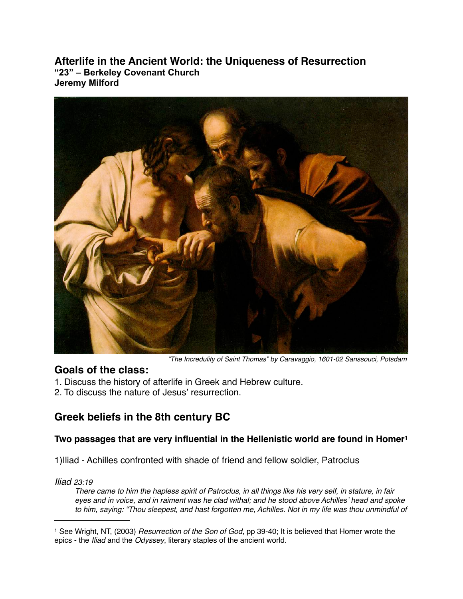**Afterlife in the Ancient World: the Uniqueness of Resurrection "23" – Berkeley Covenant Church Jeremy Milford**



 *"The Incredulity of Saint Thomas" by Caravaggio, 1601-02 Sanssouci, Potsdam*

### **Goals of the class:**

- 1. Discuss the history of afterlife in Greek and Hebrew culture.
- 2. To discuss the nature of Jesus' resurrection.

# **Greek beliefs in the 8th century BC**

### **Two passages that are very influential in the Hellenistic world are found in Home[r1](#page-0-0)**

1)Iliad - Achilles confronted with shade of friend and fellow soldier, Patroclus

### *Iliad 23:19*

*There came to him the hapless spirit of Patroclus, in all things like his very self, in stature, in fair eyes and in voice, and in raiment was he clad withal; and he stood above Achilles*' *head and spoke to him, saying: "Thou sleepest, and hast forgotten me, Achilles. Not in my life was thou unmindful of* 

<span id="page-0-0"></span><sup>1</sup> See Wright, NT, (2003) *Resurrection of the Son of God*, pp 39-40; It is believed that Homer wrote the epics - the *Iliad* and the *Odyssey*, literary staples of the ancient world.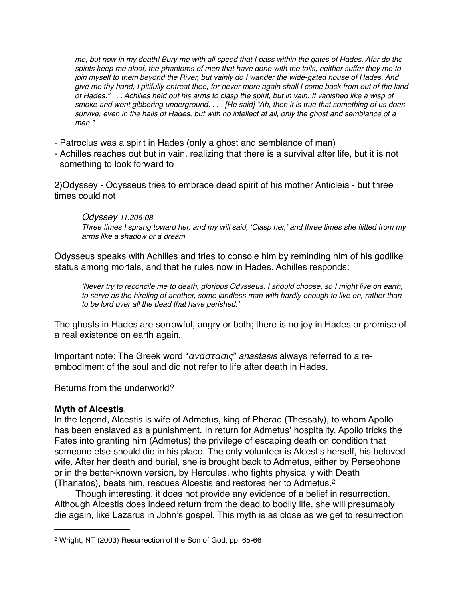*me, but now in my death! Bury me with all speed that I pass within the gates of Hades. Afar do the spirits keep me aloof, the phantoms of men that have done with the toils, neither suffer they me to join myself to them beyond the River, but vainly do I wander the wide-gated house of Hades. And give me thy hand, I pitifully entreat thee, for never more again shall I come back from out of the land of Hades." . . . Achilles held out his arms to clasp the spirit, but in vain. It vanished like a wisp of smoke and went gibbering underground. . . . [He said] "Ah, then it is true that something of us does survive, even in the halls of Hades, but with no intellect at all, only the ghost and semblance of a man."*

- Patroclus was a spirit in Hades (only a ghost and semblance of man)
- Achilles reaches out but in vain, realizing that there is a survival after life, but it is not something to look forward to

2)Odyssey - Odysseus tries to embrace dead spirit of his mother Anticleia - but three times could not

#### *Odyssey 11.206-08*

*Three times I sprang toward her, and my will said,* ʻ*Clasp her,*' *and three times she flitted from my arms like a shadow or a dream.*

Odysseus speaks with Achilles and tries to console him by reminding him of his godlike status among mortals, and that he rules now in Hades. Achilles responds:

ʻ*Never try to reconcile me to death, glorious Odysseus. I should choose, so I might live on earth, to serve as the hireling of another, some landless man with hardly enough to live on, rather than to be lord over all the dead that have perished.*'

The ghosts in Hades are sorrowful, angry or both; there is no joy in Hades or promise of a real existence on earth again.

Important note: The Greek word "αναστασις" *anastasis* always referred to a reembodiment of the soul and did not refer to life after death in Hades.

Returns from the underworld?

### **Myth of Alcestis**.

In the legend, Alcestis is wife of Admetus, king of Pherae (Thessaly), to whom Apollo has been enslaved as a punishment. In return for Admetus' hospitality, Apollo tricks the Fates into granting him (Admetus) the privilege of escaping death on condition that someone else should die in his place. The only volunteer is Alcestis herself, his beloved wife. After her death and burial, she is brought back to Admetus, either by Persephone or in the better-known version, by Hercules, who fights physically with Death (Thanatos), beats him, rescues Alcestis and restores her to Admetus.[2](#page-1-0)

Though interesting, it does not provide any evidence of a belief in resurrection. Although Alcestis does indeed return from the dead to bodily life, she will presumably die again, like Lazarus in John's gospel. This myth is as close as we get to resurrection

<span id="page-1-0"></span><sup>2</sup> Wright, NT (2003) Resurrection of the Son of God, pp. 65-66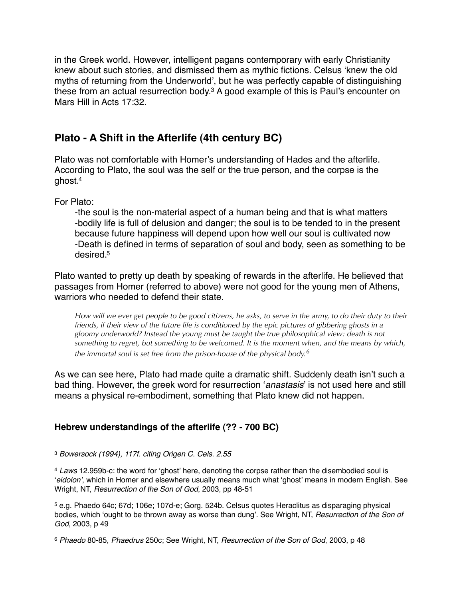in the Greek world. However, intelligent pagans contemporary with early Christianity knew about such stories, and dismissed them as mythic fictions. Celsus ʻknew the old myths of returning from the Underworld', but he was perfectly capable of distinguishing these from an actual resurrection body[.3](#page-2-0) A good example of this is Paul's encounter on Mars Hill in Acts 17:32.

# **Plato - A Shift in the Afterlife (4th century BC)**

Plato was not comfortable with Homer's understanding of Hades and the afterlife. According to Plato, the soul was the self or the true person, and the corpse is the ghost[.4](#page-2-1)

For Plato:

-the soul is the non-material aspect of a human being and that is what matters -bodily life is full of delusion and danger; the soul is to be tended to in the present because future happiness will depend upon how well our soul is cultivated now -Death is defined in terms of separation of soul and body, seen as something to be desired[.5](#page-2-2)

Plato wanted to pretty up death by speaking of rewards in the afterlife. He believed that passages from Homer (referred to above) were not good for the young men of Athens, warriors who needed to defend their state.

*How will we ever get people to be good citizens, he asks, to serve in the army, to do their duty to their friends, if their view of the future life is conditioned by the epic pictures of gibbering ghosts in a gloomy underworld? Instead the young must be taught the true philosophical view: death is not something to regret, but something to be welcomed. It is the moment when, and the means by which, the immortal soul is set free from the prison-house of the physical body.[6](#page-2-3)*

As we can see here, Plato had made quite a dramatic shift. Suddenly death isn't such a bad thing. However, the greek word for resurrection ʻ*anastasis*' is not used here and still means a physical re-embodiment, something that Plato knew did not happen.

## **Hebrew understandings of the afterlife (?? - 700 BC)**

<span id="page-2-0"></span><sup>3</sup> *Bowersock (1994), 117f. citing Origen C. Cels. 2.55*

<span id="page-2-1"></span><sup>4</sup> *Laws* 12.959b-c: the word for ʻghost' here, denoting the corpse rather than the disembodied soul is ʻ*eidolon*', which in Homer and elsewhere usually means much what ʻghost' means in modern English. See Wright, NT, *Resurrection of the Son of God*, 2003, pp 48-51

<span id="page-2-2"></span><sup>5</sup> e.g. Phaedo 64c; 67d; 106e; 107d-e; Gorg. 524b. Celsus quotes Heraclitus as disparaging physical bodies, which ʻought to be thrown away as worse than dung'. See Wright, NT, *Resurrection of the Son of God*, 2003, p 49

<span id="page-2-3"></span><sup>6</sup> *Phaedo* 80-85, *Phaedrus* 250c; See Wright, NT, *Resurrection of the Son of God*, 2003, p 48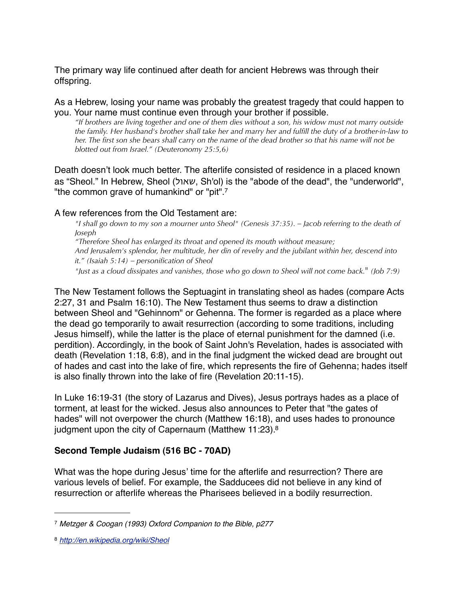The primary way life continued after death for ancient Hebrews was through their offspring.

As a Hebrew, losing your name was probably the greatest tragedy that could happen to you. Your name must continue even through your brother if possible.

*"If brothers are living together and one of them dies without a son, his widow must not marry outside the family. Her husband's brother shall take her and marry her and fulfill the duty of a brother-in-law to her. The first son she bears shall carry on the name of the dead brother so that his name will not be blotted out from Israel." (Deuteronomy 25:5,6)*

Death doesn't look much better. The afterlife consisted of residence in a placed known as "Sheol." In Hebrew, Sheol (שאול, Sh'ol) is the "abode of the dead", the "underworld", "the common grave of humankind" or "pit"[.7](#page-3-0)

#### A few references from the Old Testament are:

*"I shall go down to my son a mourner unto Sheol" (Genesis 37:35). – Jacob referring to the death of Joseph*

*"Therefore Sheol has enlarged its throat and opened its mouth without measure; And Jerusalem's splendor, her multitude, her din of revelry and the jubilant within her, descend into it." (Isaiah 5:14) – personification of Sheol*

*"Just as a cloud dissipates and vanishes, those who go down to Sheol will not come back.*" *(Job 7:9)*

The New Testament follows the Septuagint in translating sheol as hades (compare Acts 2:27, 31 and Psalm 16:10). The New Testament thus seems to draw a distinction between Sheol and "Gehinnom" or Gehenna. The former is regarded as a place where the dead go temporarily to await resurrection (according to some traditions, including Jesus himself), while the latter is the place of eternal punishment for the damned (i.e. perdition). Accordingly, in the book of Saint John's Revelation, hades is associated with death (Revelation 1:18, 6:8), and in the final judgment the wicked dead are brought out of hades and cast into the lake of fire, which represents the fire of Gehenna; hades itself is also finally thrown into the lake of fire (Revelation 20:11-15).

In Luke 16:19-31 (the story of Lazarus and Dives), Jesus portrays hades as a place of torment, at least for the wicked. Jesus also announces to Peter that "the gates of hades" will not overpower the church (Matthew 16:18), and uses hades to pronounce judgment upon the city of Capernaum (Matthew 11:23).<sup>8</sup>

### **Second Temple Judaism (516 BC - 70AD)**

What was the hope during Jesus' time for the afterlife and resurrection? There are various levels of belief. For example, the Sadducees did not believe in any kind of resurrection or afterlife whereas the Pharisees believed in a bodily resurrection.

<span id="page-3-0"></span><sup>7</sup> *Metzger & Coogan (1993) Oxford Companion to the Bible, p277*

<span id="page-3-1"></span><sup>8</sup> *<http://en.wikipedia.org/wiki/Sheol>*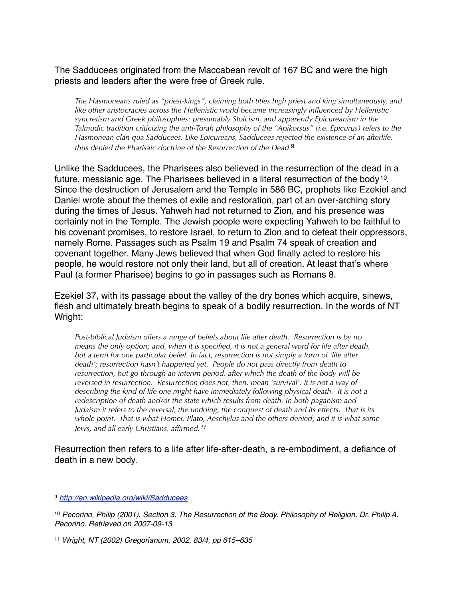The Sadducees originated from the Maccabean revolt of 167 BC and were the high priests and leaders after the were free of Greek rule.

*The Hasmoneans ruled as "priest-kings", claiming both titles high priest and king simultaneously, and like other aristocracies across the Hellenistic world became increasingly influenced by Hellenistic syncretism and Greek philosophies: presumably Stoicism, and apparently Epicureanism in the Talmudic tradition criticizing the anti-Torah philosophy of the "Apikorsus" (i.e. Epicurus) refers to the Hasmonean clan qua Sadducees. Like Epicureans, Sadducees rejected the existence of an afterlife, thus denied the Pharisaic doctrine of the Resurrection of the Dead.*[9](#page-4-0)

Unlike the Sadducees, the Pharisees also believed in the resurrection of the dead in a future, messianic age. The Pharisees believed in a literal resurrection of the body<sup>10</sup>. Since the destruction of Jerusalem and the Temple in 586 BC, prophets like Ezekiel and Daniel wrote about the themes of exile and restoration, part of an over-arching story during the times of Jesus. Yahweh had not returned to Zion, and his presence was certainly not in the Temple. The Jewish people were expecting Yahweh to be faithful to his covenant promises, to restore Israel, to return to Zion and to defeat their oppressors, namely Rome. Passages such as Psalm 19 and Psalm 74 speak of creation and covenant together. Many Jews believed that when God finally acted to restore his people, he would restore not only their land, but all of creation. At least that's where Paul (a former Pharisee) begins to go in passages such as Romans 8.

Ezekiel 37, with its passage about the valley of the dry bones which acquire, sinews, flesh and ultimately breath begins to speak of a bodily resurrection. In the words of NT Wright:

*Post-biblical Judaism offers a range of beliefs about life after death. Resurrection is by no means the only option; and, when it is specified, it is not a general word for life after death, but a term for one particular belief. In fact, resurrection is not simply a form of 'life after death'; resurrection hasn't happened yet. People do not pass directly from death to resurrection, but go through an interim period, after which the death of the body will be reversed in resurrection. Resurrection does not, then, mean 'survival'; it is not a way of describing the kind of life one might have immediately following physical death. It is not a redescription of death and/or the state which results from death. In both paganism and Judaism it refers to the reversal, the undoing, the conquest of death and its effects. That is its whole point. That is what Homer, Plato, Aeschylus and the others denied; and it is what some Jews, and all early Christians, affirmed.[11](#page-4-2)*

Resurrection then refers to a life after life-after-death, a re-embodiment, a defiance of death in a new body.

<span id="page-4-0"></span><sup>9</sup> *<http://en.wikipedia.org/wiki/Sadducees>*

<span id="page-4-1"></span><sup>10</sup> *Pecorino, Philip (2001). Section 3. The Resurrection of the Body. Philosophy of Religion. Dr. Philip A. Pecorino. Retrieved on 2007-09-13*

<span id="page-4-2"></span><sup>11</sup> *Wright, NT (2002) Gregorianum, 2002, 83/4, pp 615–635*